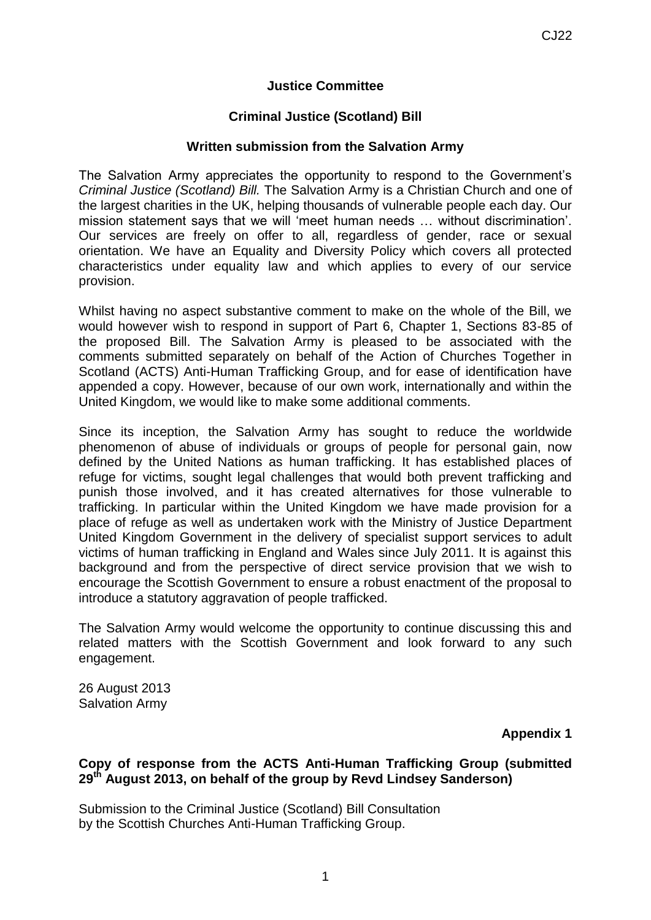## **Justice Committee**

## **Criminal Justice (Scotland) Bill**

## **Written submission from the Salvation Army**

The Salvation Army appreciates the opportunity to respond to the Government's *Criminal Justice (Scotland) Bill.* The Salvation Army is a Christian Church and one of the largest charities in the UK, helping thousands of vulnerable people each day. Our mission statement says that we will 'meet human needs … without discrimination'. Our services are freely on offer to all, regardless of gender, race or sexual orientation. We have an Equality and Diversity Policy which covers all protected characteristics under equality law and which applies to every of our service provision.

Whilst having no aspect substantive comment to make on the whole of the Bill, we would however wish to respond in support of Part 6, Chapter 1, Sections 83-85 of the proposed Bill. The Salvation Army is pleased to be associated with the comments submitted separately on behalf of the Action of Churches Together in Scotland (ACTS) Anti-Human Trafficking Group, and for ease of identification have appended a copy. However, because of our own work, internationally and within the United Kingdom, we would like to make some additional comments.

Since its inception, the Salvation Army has sought to reduce the worldwide phenomenon of abuse of individuals or groups of people for personal gain, now defined by the United Nations as human trafficking. It has established places of refuge for victims, sought legal challenges that would both prevent trafficking and punish those involved, and it has created alternatives for those vulnerable to trafficking. In particular within the United Kingdom we have made provision for a place of refuge as well as undertaken work with the Ministry of Justice Department United Kingdom Government in the delivery of specialist support services to adult victims of human trafficking in England and Wales since July 2011. It is against this background and from the perspective of direct service provision that we wish to encourage the Scottish Government to ensure a robust enactment of the proposal to introduce a statutory aggravation of people trafficked.

The Salvation Army would welcome the opportunity to continue discussing this and related matters with the Scottish Government and look forward to any such engagement.

26 August 2013 Salvation Army

**Appendix 1**

## **Copy of response from the ACTS Anti-Human Trafficking Group (submitted 29th August 2013, on behalf of the group by Revd Lindsey Sanderson)**

Submission to the Criminal Justice (Scotland) Bill Consultation by the Scottish Churches Anti-Human Trafficking Group.